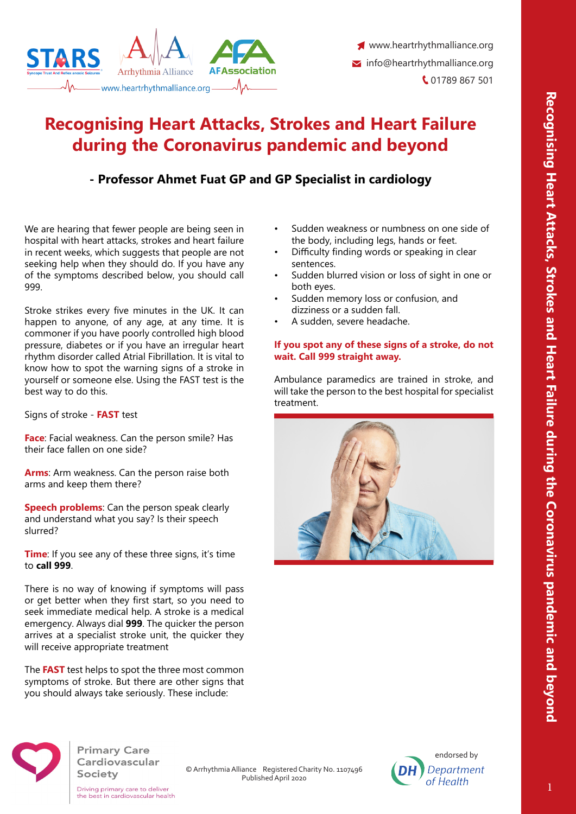



www.heartrhythmalliance.org  $\blacktriangleright$  info@heartrhythmalliance.org C 01789 867 501

# **Recognising Heart Attacks, Strokes and Heart Failure during the Coronavirus pandemic and beyond**

# **- Professor Ahmet Fuat GP and GP Specialist in cardiology**

We are hearing that fewer people are being seen in hospital with heart attacks, strokes and heart failure in recent weeks, which suggests that people are not seeking help when they should do. If you have any of the symptoms described below, you should call 999.

Stroke strikes every five minutes in the UK. It can happen to anyone, of any age, at any time. It is commoner if you have poorly controlled high blood pressure, diabetes or if you have an irregular heart rhythm disorder called Atrial Fibrillation. It is vital to know how to spot the warning signs of a stroke in yourself or someone else. Using the FAST test is the best way to do this.

Signs of stroke - **FAST** test

**Face**: Facial weakness. Can the person smile? Has their face fallen on one side?

**Arms**: Arm weakness. Can the person raise both arms and keep them there?

**Speech problems**: Can the person speak clearly and understand what you say? Is their speech slurred?

**Time**: If you see any of these three signs, it's time to **call 999**.

There is no way of knowing if symptoms will pass or get better when they first start, so you need to seek immediate medical help. A stroke is a medical emergency. Always dial **999**. The quicker the person arrives at a specialist stroke unit, the quicker they will receive appropriate treatment

The **FAST** test helps to spot the three most common symptoms of stroke. But there are other signs that you should always take seriously. These include:

- Sudden weakness or numbness on one side of the body, including legs, hands or feet.
- Difficulty finding words or speaking in clear sentences.
- Sudden blurred vision or loss of sight in one or both eyes.
- Sudden memory loss or confusion, and dizziness or a sudden fall.
- A sudden, severe headache.

## **If you spot any of these signs of a stroke, do not wait. Call 999 straight away.**

Ambulance paramedics are trained in stroke, and will take the person to the best hospital for specialist treatment.





**Primary Care** Cardiovascular Society

Driving primary care to deliver<br>the best in cardiovascular health

© Arrhythmia Alliance Registered Charity No. 1107496 Published April 2020

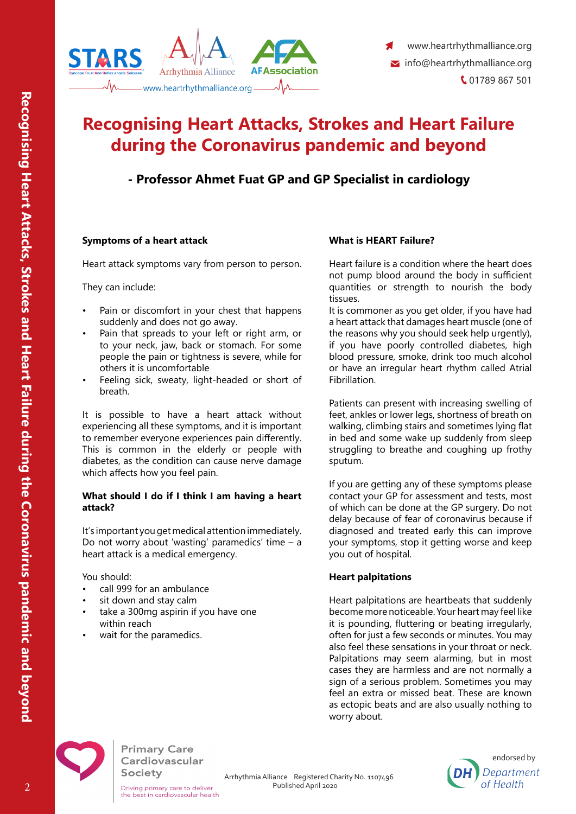

# **Recognising Heart Attacks, Strokes and Heart Failure during the Coronavirus pandemic and beyond**

# **- Professor Ahmet Fuat GP and GP Specialist in cardiology**

### **Symptoms of a heart attack**

Heart attack symptoms vary from person to person.

They can include:

- Pain or discomfort in your chest that happens suddenly and does not go away.
- Pain that spreads to your left or right arm, or to your neck, jaw, back or stomach. For some people the pain or tightness is severe, while for others it is uncomfortable
- Feeling sick, sweaty, light-headed or short of breath.

It is possible to have a heart attack without experiencing all these symptoms, and it is important to remember everyone experiences pain differently. This is common in the elderly or people with diabetes, as the condition can cause nerve damage which affects how you feel pain.

#### **What should I do if I think I am having a heart attack?**

It's important you get medical attention immediately. Do not worry about 'wasting' paramedics' time – a heart attack is a medical emergency.

You should:

- call 999 for an ambulance
- sit down and stay calm
- take a 300mg aspirin if you have one within reach
- wait for the paramedics.

## **What is HEART Failure?**

Heart failure is a condition where the heart does not pump blood around the body in sufficient quantities or strength to nourish the body tissues.

It is commoner as you get older, if you have had a heart attack that damages heart muscle (one of the reasons why you should seek help urgently), if you have poorly controlled diabetes, high blood pressure, smoke, drink too much alcohol or have an irregular heart rhythm called Atrial Fibrillation.

Patients can present with increasing swelling of feet, ankles or lower legs, shortness of breath on walking, climbing stairs and sometimes lying flat in bed and some wake up suddenly from sleep struggling to breathe and coughing up frothy sputum.

If you are getting any of these symptoms please contact your GP for assessment and tests, most of which can be done at the GP surgery. Do not delay because of fear of coronavirus because if diagnosed and treated early this can improve your symptoms, stop it getting worse and keep you out of hospital.

### **Heart palpitations**

Heart palpitations are heartbeats that suddenly become more noticeable. Your heart may feel like it is pounding, fluttering or beating irregularly, often for just a few seconds or minutes. You may also feel these sensations in your throat or neck. Palpitations may seem alarming, but in most cases they are harmless and are not normally a sign of a serious problem. Sometimes you may feel an extra or missed beat. These are known as ectopic beats and are also usually nothing to worry about.

endorsed by

Department

of Health



**Primary Care** Cardiovascular Society

© Arrhythmia Alliance Registered Charity No. 1107496 Published April 2020

Driving primary care to deliver<br>the best in cardiovascular health

2

**Recognising Heart Attacks, Strokes and Heart Failure during the Coronavirus pandemic and beyond**

Recognising Heart Attacks, Strokes and Heart Failure during the Coronavirus pandemic and beyond